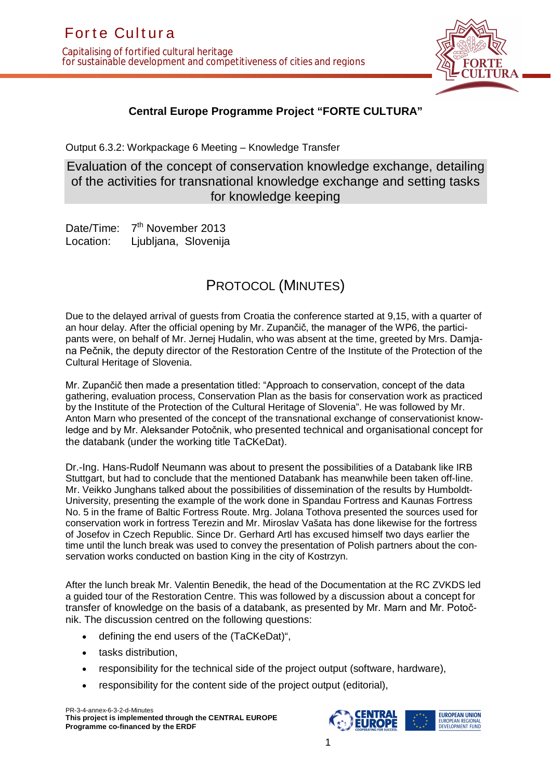

## **Central Europe Programme Project "FORTE CULTURA"**

Output 6.3.2: Workpackage 6 Meeting – Knowledge Transfer

Evaluation of the concept of conservation knowledge exchange, detailing of the activities for transnational knowledge exchange and setting tasks for knowledge keeping

Date/Time: 7<sup>th</sup> November 2013 Location: Ljubljana, Slovenija

## PROTOCOL (MINUTES)

Due to the delayed arrival of guests from Croatia the conference started at 9,15, with a quarter of an hour delay. After the official opening by Mr. Zupančič, the manager of the WP6, the participants were, on behalf of Mr. Jernej Hudalin, who was absent at the time, greeted by Mrs. Damjana Pečnik, the deputy director of the Restoration Centre of the Institute of the Protection of the Cultural Heritage of Slovenia.

Mr. Zupančič then made a presentation titled: "Approach to conservation, concept of the data gathering, evaluation process, Conservation Plan as the basis for conservation work as practiced by the Institute of the Protection of the Cultural Heritage of Slovenia". He was followed by Mr. Anton Marn who presented of the concept of the transnational exchange of conservationist knowledge and by Mr. Aleksander Potočnik, who presented technical and organisational concept for the databank (under the working title TaCKeDat).

Dr.-Ing. Hans-Rudolf Neumann was about to present the possibilities of a Databank like IRB Stuttgart, but had to conclude that the mentioned Databank has meanwhile been taken off-line. Mr. Veikko Junghans talked about the possibilities of dissemination of the results by Humboldt-University, presenting the example of the work done in Spandau Fortress and Kaunas Fortress No. 5 in the frame of Baltic Fortress Route. Mrg. Jolana Tothova presented the sources used for conservation work in fortress Terezin and Mr. Miroslav Vašata has done likewise for the fortress of Josefov in Czech Republic. Since Dr. Gerhard Artl has excused himself two days earlier the time until the lunch break was used to convey the presentation of Polish partners about the conservation works conducted on bastion King in the city of Kostrzyn.

After the lunch break Mr. Valentin Benedik, the head of the Documentation at the RC ZVKDS led a guided tour of the Restoration Centre. This was followed by a discussion about a concept for transfer of knowledge on the basis of a databank, as presented by Mr. Marn and Mr. Potočnik. The discussion centred on the following questions:

- defining the end users of the (TaCKeDat)",
- tasks distribution.
- responsibility for the technical side of the project output (software, hardware),
- responsibility for the content side of the project output (editorial),

PR-3-4-annex-6-3-2-d-Minutes **This project is implemented through the CENTRAL EUROPE Programme co-financed by the ERDF**